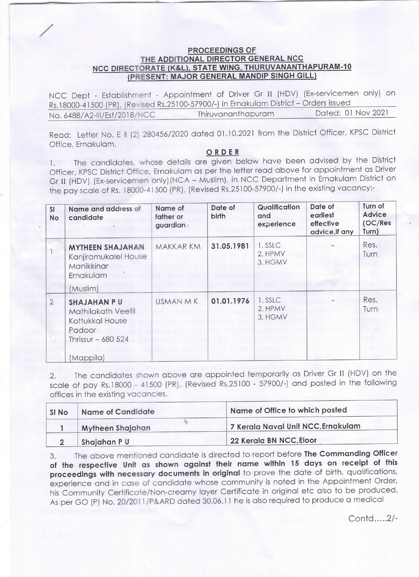## **PROCEEDINGS OF**<br>THE ADDITIONAL DIRECTOR GENERAL NCC NCC DIRECTORATE (K&L), STATE WING, THURUVANANTHAPURAM-10<br>(PRESENT: MAJOR GENERAL MANDIP SINGH GILL)

/

NCC Dept - Establishment - Appointment of Driver Gr 11 (HDV) (Ex-servicemen only) on Rs.18000-41500 (PR), (Revised Rs.25100-57900/-) in Ernakulam District - Orders issued<br>No. 6488/A2-III/Fst/2018/NCC Thiruvananthapuram Dated: 01 Nov 2021 No. 6488/A2-III/Est/2018/NCC

Read: Letter No. E II (2) 280456/2020 dated 01.10.2021 from the District Officer, KPSC District Office, Ernakulam.

## ORDER

1. The candidates, whose details are given below have been advised by the District Officer, KPSC District Offlce, Ernakulam as per the letter read above for appointment as Driver Gr II (HDV) (Ex-servicemen only)(NCA - Muslim), in NCC Department in Ernakulam District on the pay scale of Rs.18000-41500 (PR), (Revised Rs.25100-57900/-) in the existing vacancy:-

| <b>SI</b><br>No | Name and address of<br>candidate                                                            | Name of<br>father or<br>guardian - | Date of<br>birth | Qualification<br>and<br>experience | Date of<br>earliest<br>effective<br>advice, if any | Turn of<br>Advice<br>(OC/Res<br>Turn) |
|-----------------|---------------------------------------------------------------------------------------------|------------------------------------|------------------|------------------------------------|----------------------------------------------------|---------------------------------------|
|                 | <b>MYTHEEN SHAJAHAN</b><br>Kanjiramukalel House<br>Manikkinar<br>Ernakulam                  | MAKKAR KM                          | 31.05.1981       | 1. SSLC<br>2. HPMV<br>3. HGMV      |                                                    | Res.<br>Turn                          |
|                 | (Muslim)                                                                                    |                                    |                  |                                    |                                                    |                                       |
| $\overline{2}$  | <b>SHAJAHAN PU</b><br>Mathilakath Veetil<br>Kottukkal House<br>Padoor<br>Thrissur $-680524$ | USMAN M K                          | 01.01.1976       | 1. SSLC<br>2. HPMV<br>3. HGMV      |                                                    | Res.<br>Turn                          |
|                 | (Mappila)                                                                                   |                                    |                  |                                    |                                                    |                                       |

2. The candidates shown above are appointed temporarily as Driver Gr ll (HDV) on the scale of pay Rs.18000 - 41500 (PR), (Revised Rs.25100 - 57900/-) and posted in the following offices in the existing vacancies.

| SI No | Name of Candidate | Name of Office to which posted     |
|-------|-------------------|------------------------------------|
|       | Mytheen Shajahan  | 7 Kerala Naval Unit NCC, Ernakulam |
|       | Shajahan PU       | 22 Kerala BN NCC, Eloor            |

3. The above mentioned candidate is directed to report before The Commanding Officer of the respective Unit as shown against their name within 15 days on receipt of this proceedings with necessary documents in original to prove the date of birth, qualifications, experience and in case of candidate whose community is noted in the Appointment Order, his Community Certificate/Non-creamy layer Certificate in original etc also to be produced. As per GO (P) No. 20/2011 /P&ARD dated 30.06.11 he is also required to produce a medical

Contd.....2/-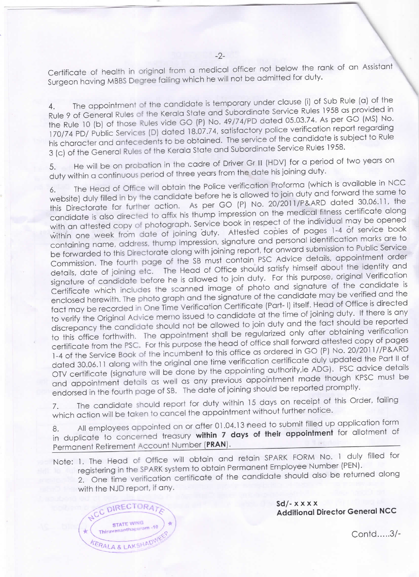Certificate of health in original from a medical officer not below the rank of an Assistant Surgeon having MBBS Degree failing which he will not be admitted for duty.

4. The appointment of the candidate is temporary under clause (i) of Sub Rule (a) of the Rule 9 of General Rules of the Kerala State and Subordinate Service Rules 1958 as provided in the Rule 10 (b) of those Rules vide GO (P) No. 49/74/PD dated 05.03.74. As per GO (MS) No. 170/74 PD/ Public Services (D) dated 18.07.74, satisfactory police verification report regarding his character and antecedents to be obtained. The service of the candidate is subject to Rule 3 (c) of the General Rules of the Kerala State and Subordinate Service Rules 1958.

5. He will be on probation in the cadre of Driver Gr II (HDV) for a period of two years on duty within a continuous period of three years from the date his joining duty.

6. The Head of Office will obtain the Police verification Proforma (which is available in NCC website) duly filled in by the candidate before he is allowed to join duty and forward the same to this Directorate for further action. As per GO (P) No. 20/2011/P&ARD dated 30.06.11, the candidate is also directed to affix his thump impression on the medical fitness certificate along with an attested copy of photograph. Service book in respect of the individual may be opened within one week from date of joining duty. Attested copies of pages 1-4 of service book containing name, address, thump impression, signature and personal identification marks are to be forwarded to this Directorate along with joining report, for onward submission to Public Service Commission. The fourth page of the SB must contain PSC Advice details, appointment order details, date of joining etc. The Head of Office should satisfy himself about the identity and signature of candidate before he is allowed to join duty. For this purpose, original Verification Certificate which includes the scanned image of photo and signature of the candidate is enclosed herewith. The photo graph and the signature of the candidate may be verified and the fact may be recorded in One Time Verification Certificate (Part-I) itself. Head of Office is directed to verify the Original Advice merno issued to candidate at the time of joining duty. If there is any discrepancy the candidate should not be allowed to join duty and the fact should be reported to this office forthwith. The appointment shall be regularized only after obtaining verification certificate from the PSC. For this purpose the head of office shall forward attested copy of pages 1-4 of the Service Book of the incumbent to this office as ordered in GO (P) No. 20/2011//P&ARD dated 30.06.11 along with the original one time verification certificate duly updated the Part II of OTV certificate (signature will be done by the appointing authority,ie ADG). PSC advice details and appointment details as well as any previous appointment made though KPSC must be endorsed in the fourth page of SB. The date of joining should be reported promptly.

7. The candidate should report for duty within 15 days on receipt of this Order, failing which action will be taken to cancel the appointment without further notice.

Permanent Retirement Account Number (**PRAN**). 8. All employees appointed on or after 01.04.13 need to submit filled up application form in duplicate to concerned treasury within 7 days of their appointment for allotment of

Note: 1. The Head of Office will obtain and retain SPARK FORM No. 1 duly filled for registering in the SPARK system to obtain Permanent Employee Number (PEN). 2. One time verification certificate of the candidate should also be returned along

with the NJD report, if any.



 $Sd$  -  $x$   $x$   $x$   $x$ Additional Director General NCC

contd.....3/-